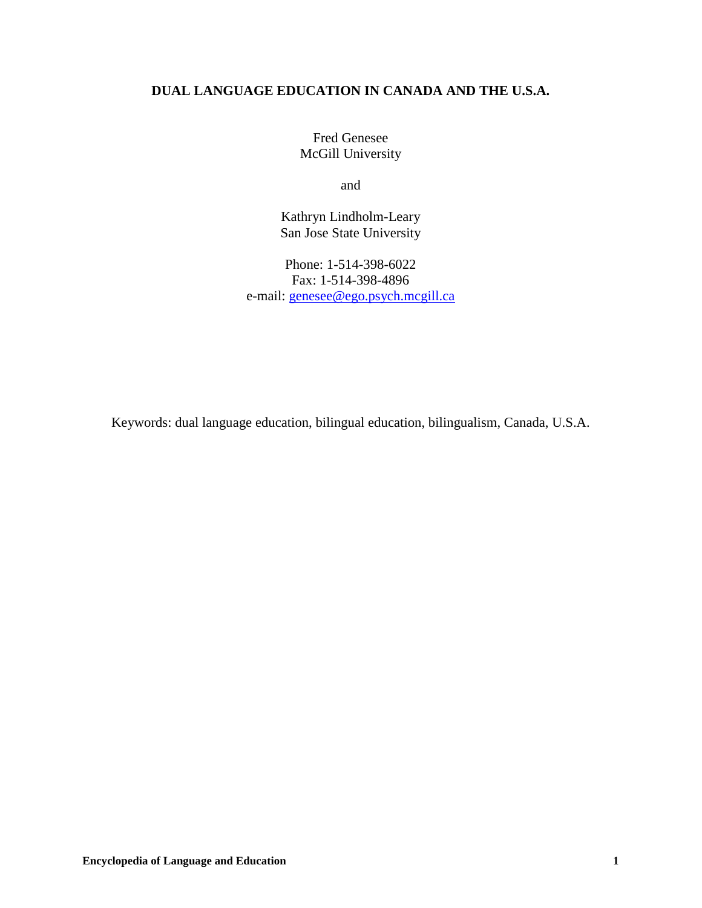# **DUAL LANGUAGE EDUCATION IN CANADA AND THE U.S.A.**

Fred Genesee McGill University

and

Kathryn Lindholm-Leary San Jose State University

Phone: 1-514-398-6022 Fax: 1-514-398-4896 e-mail: [genesee@ego.psych.mcgill.ca](mailto:genesee@ego.psych.mcgill.ca)

Keywords: dual language education, bilingual education, bilingualism, Canada, U.S.A.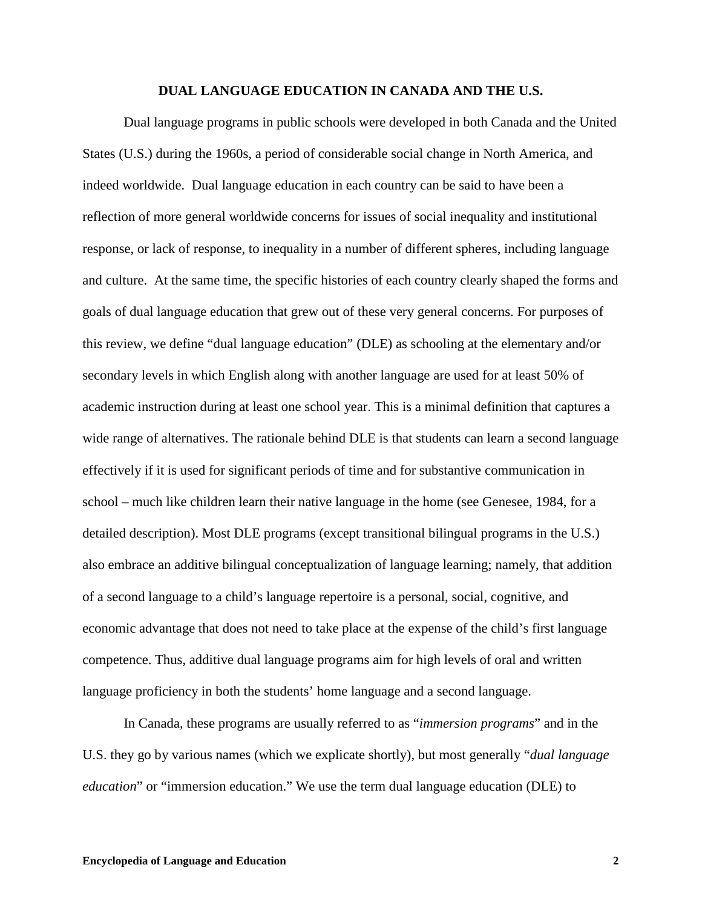## **DUAL LANGUAGE EDUCATION IN CANADA AND THE U.S.**

Dual language programs in public schools were developed in both Canada and the United States (U.S.) during the 1960s, a period of considerable social change in North America, and indeed worldwide. Dual language education in each country can be said to have been a reflection of more general worldwide concerns for issues of social inequality and institutional response, or lack of response, to inequality in a number of different spheres, including language and culture. At the same time, the specific histories of each country clearly shaped the forms and goals of dual language education that grew out of these very general concerns. For purposes of this review, we define "dual language education" (DLE) as schooling at the elementary and/or secondary levels in which English along with another language are used for at least 50% of academic instruction during at least one school year. This is a minimal definition that captures a wide range of alternatives. The rationale behind DLE is that students can learn a second language effectively if it is used for significant periods of time and for substantive communication in school – much like children learn their native language in the home (see Genesee, 1984, for a detailed description). Most DLE programs (except transitional bilingual programs in the U.S.) also embrace an additive bilingual conceptualization of language learning; namely, that addition of a second language to a child's language repertoire is a personal, social, cognitive, and economic advantage that does not need to take place at the expense of the child's first language competence. Thus, additive dual language programs aim for high levels of oral and written language proficiency in both the students' home language and a second language.

In Canada, these programs are usually referred to as "*immersion programs*" and in the U.S. they go by various names (which we explicate shortly), but most generally "*dual language education*" or "immersion education." We use the term dual language education (DLE) to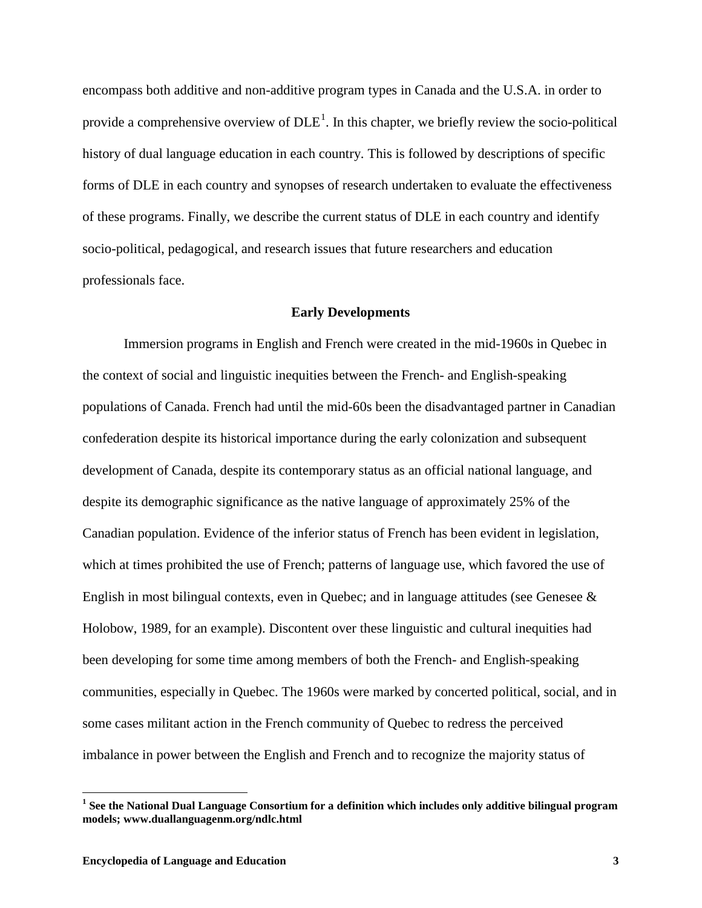encompass both additive and non-additive program types in Canada and the U.S.A. in order to provide a comprehensive overview of  $DLE<sup>1</sup>$  $DLE<sup>1</sup>$  $DLE<sup>1</sup>$ . In this chapter, we briefly review the socio-political history of dual language education in each country. This is followed by descriptions of specific forms of DLE in each country and synopses of research undertaken to evaluate the effectiveness of these programs. Finally, we describe the current status of DLE in each country and identify socio-political, pedagogical, and research issues that future researchers and education professionals face.

#### **Early Developments**

Immersion programs in English and French were created in the mid-1960s in Quebec in the context of social and linguistic inequities between the French- and English-speaking populations of Canada. French had until the mid-60s been the disadvantaged partner in Canadian confederation despite its historical importance during the early colonization and subsequent development of Canada, despite its contemporary status as an official national language, and despite its demographic significance as the native language of approximately 25% of the Canadian population. Evidence of the inferior status of French has been evident in legislation, which at times prohibited the use of French; patterns of language use, which favored the use of English in most bilingual contexts, even in Quebec; and in language attitudes (see Genesee  $\&$ Holobow, 1989, for an example). Discontent over these linguistic and cultural inequities had been developing for some time among members of both the French- and English-speaking communities, especially in Quebec. The 1960s were marked by concerted political, social, and in some cases militant action in the French community of Quebec to redress the perceived imbalance in power between the English and French and to recognize the majority status of

<span id="page-2-0"></span> **<sup>1</sup> See the National Dual Language Consortium for a definition which includes only additive bilingual program models; www.duallanguagenm.org/ndlc.html**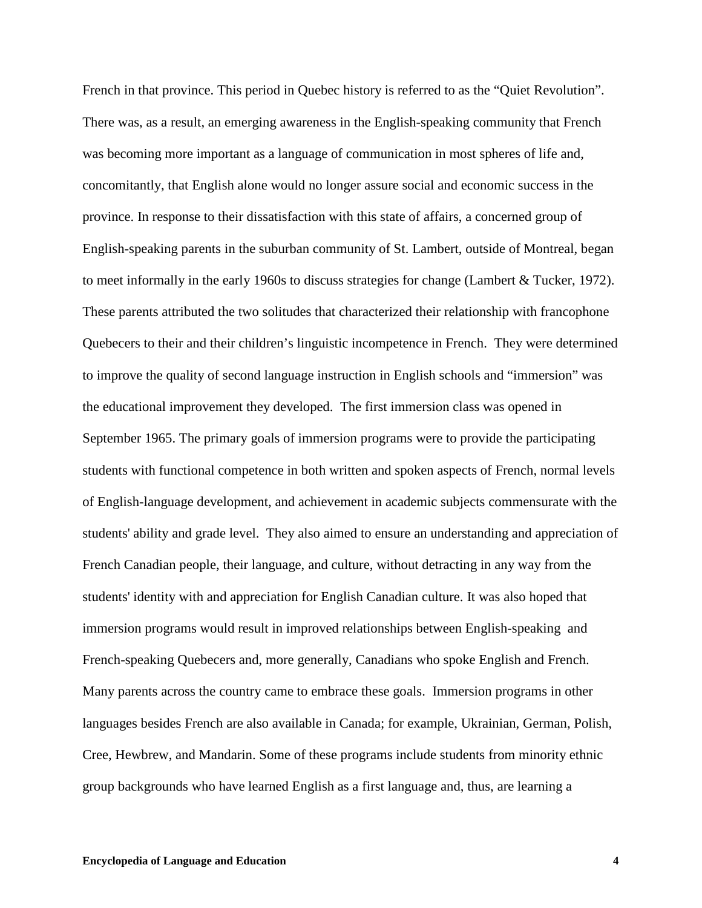French in that province. This period in Quebec history is referred to as the "Quiet Revolution". There was, as a result, an emerging awareness in the English-speaking community that French was becoming more important as a language of communication in most spheres of life and, concomitantly, that English alone would no longer assure social and economic success in the province. In response to their dissatisfaction with this state of affairs, a concerned group of English-speaking parents in the suburban community of St. Lambert, outside of Montreal, began to meet informally in the early 1960s to discuss strategies for change (Lambert & Tucker, 1972). These parents attributed the two solitudes that characterized their relationship with francophone Quebecers to their and their children's linguistic incompetence in French. They were determined to improve the quality of second language instruction in English schools and "immersion" was the educational improvement they developed. The first immersion class was opened in September 1965. The primary goals of immersion programs were to provide the participating students with functional competence in both written and spoken aspects of French, normal levels of English-language development, and achievement in academic subjects commensurate with the students' ability and grade level. They also aimed to ensure an understanding and appreciation of French Canadian people, their language, and culture, without detracting in any way from the students' identity with and appreciation for English Canadian culture. It was also hoped that immersion programs would result in improved relationships between English-speaking and French-speaking Quebecers and, more generally, Canadians who spoke English and French. Many parents across the country came to embrace these goals. Immersion programs in other languages besides French are also available in Canada; for example, Ukrainian, German, Polish, Cree, Hewbrew, and Mandarin. Some of these programs include students from minority ethnic group backgrounds who have learned English as a first language and, thus, are learning a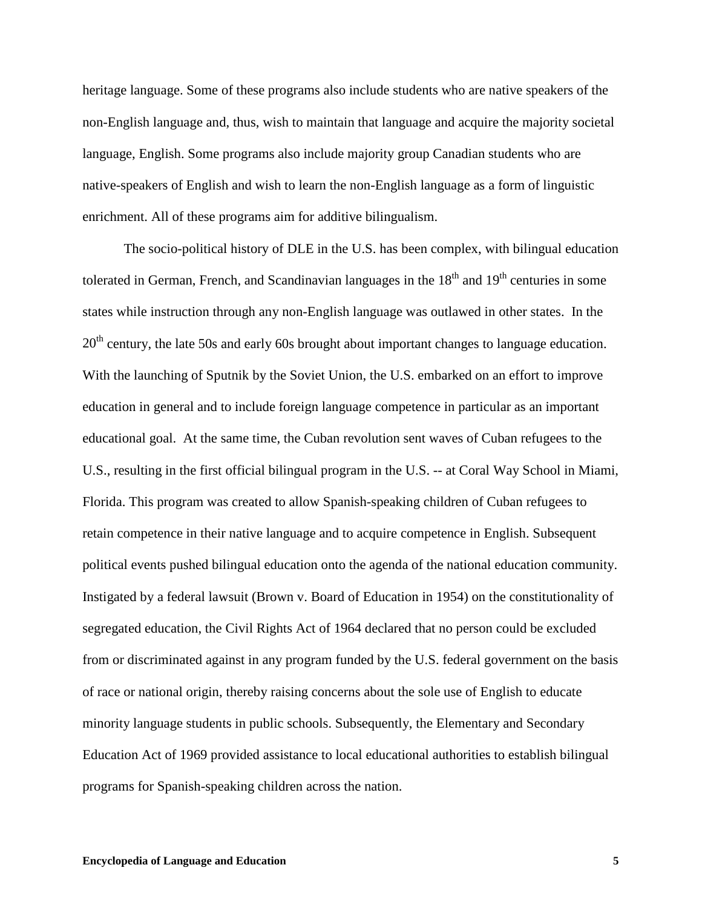heritage language. Some of these programs also include students who are native speakers of the non-English language and, thus, wish to maintain that language and acquire the majority societal language, English. Some programs also include majority group Canadian students who are native-speakers of English and wish to learn the non-English language as a form of linguistic enrichment. All of these programs aim for additive bilingualism.

The socio-political history of DLE in the U.S. has been complex, with bilingual education tolerated in German, French, and Scandinavian languages in the  $18<sup>th</sup>$  and  $19<sup>th</sup>$  centuries in some states while instruction through any non-English language was outlawed in other states. In the  $20<sup>th</sup>$  century, the late 50s and early 60s brought about important changes to language education. With the launching of Sputnik by the Soviet Union, the U.S. embarked on an effort to improve education in general and to include foreign language competence in particular as an important educational goal. At the same time, the Cuban revolution sent waves of Cuban refugees to the U.S., resulting in the first official bilingual program in the U.S. -- at Coral Way School in Miami, Florida. This program was created to allow Spanish-speaking children of Cuban refugees to retain competence in their native language and to acquire competence in English. Subsequent political events pushed bilingual education onto the agenda of the national education community. Instigated by a federal lawsuit (Brown v. Board of Education in 1954) on the constitutionality of segregated education, the Civil Rights Act of 1964 declared that no person could be excluded from or discriminated against in any program funded by the U.S. federal government on the basis of race or national origin, thereby raising concerns about the sole use of English to educate minority language students in public schools. Subsequently, the Elementary and Secondary Education Act of 1969 provided assistance to local educational authorities to establish bilingual programs for Spanish-speaking children across the nation.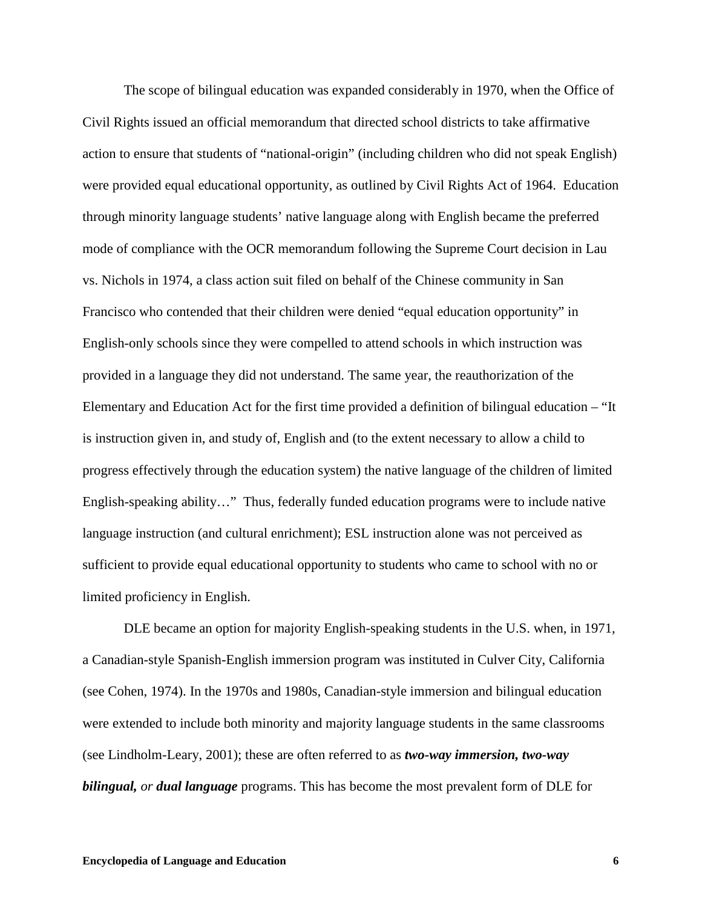The scope of bilingual education was expanded considerably in 1970, when the Office of Civil Rights issued an official memorandum that directed school districts to take affirmative action to ensure that students of "national-origin" (including children who did not speak English) were provided equal educational opportunity, as outlined by Civil Rights Act of 1964. Education through minority language students' native language along with English became the preferred mode of compliance with the OCR memorandum following the Supreme Court decision in Lau vs. Nichols in 1974, a class action suit filed on behalf of the Chinese community in San Francisco who contended that their children were denied "equal education opportunity" in English-only schools since they were compelled to attend schools in which instruction was provided in a language they did not understand. The same year, the reauthorization of the Elementary and Education Act for the first time provided a definition of bilingual education – "It is instruction given in, and study of, English and (to the extent necessary to allow a child to progress effectively through the education system) the native language of the children of limited English-speaking ability…" Thus, federally funded education programs were to include native language instruction (and cultural enrichment); ESL instruction alone was not perceived as sufficient to provide equal educational opportunity to students who came to school with no or limited proficiency in English.

DLE became an option for majority English-speaking students in the U.S. when, in 1971, a Canadian-style Spanish-English immersion program was instituted in Culver City, California (see Cohen, 1974). In the 1970s and 1980s, Canadian-style immersion and bilingual education were extended to include both minority and majority language students in the same classrooms (see Lindholm-Leary, 2001); these are often referred to as *two-way immersion, two-way bilingual, or dual language* programs. This has become the most prevalent form of DLE for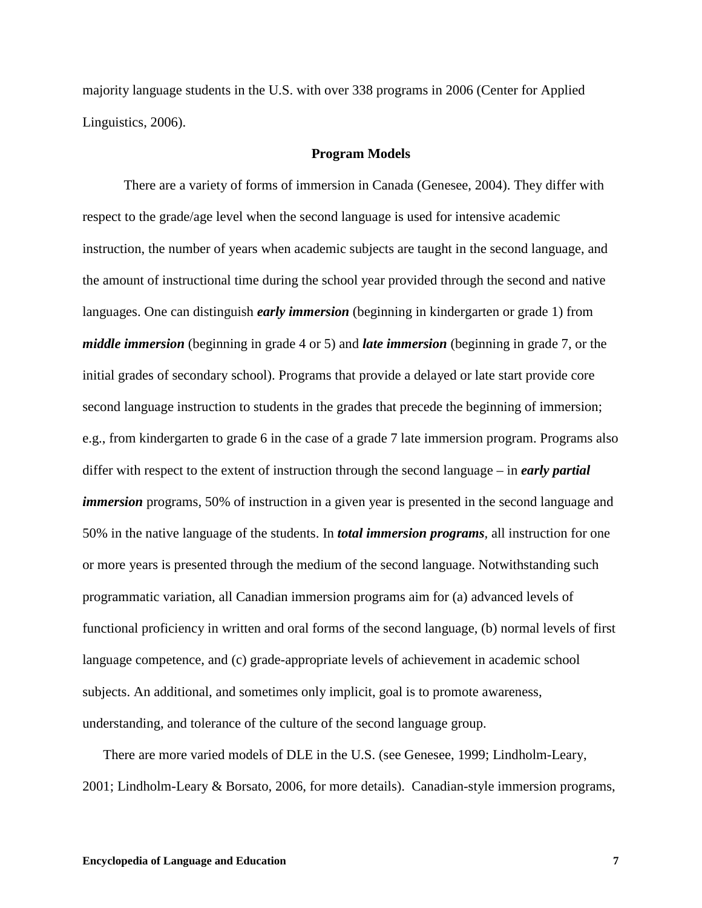majority language students in the U.S. with over 338 programs in 2006 (Center for Applied Linguistics, 2006).

## **Program Models**

There are a variety of forms of immersion in Canada (Genesee, 2004). They differ with respect to the grade/age level when the second language is used for intensive academic instruction, the number of years when academic subjects are taught in the second language, and the amount of instructional time during the school year provided through the second and native languages. One can distinguish *early immersion* (beginning in kindergarten or grade 1) from *middle immersion* (beginning in grade 4 or 5) and *late immersion* (beginning in grade 7, or the initial grades of secondary school). Programs that provide a delayed or late start provide core second language instruction to students in the grades that precede the beginning of immersion; e.g., from kindergarten to grade 6 in the case of a grade 7 late immersion program. Programs also differ with respect to the extent of instruction through the second language – in *early partial immersion* programs, 50% of instruction in a given year is presented in the second language and 50% in the native language of the students. In *total immersion programs,* all instruction for one or more years is presented through the medium of the second language. Notwithstanding such programmatic variation, all Canadian immersion programs aim for (a) advanced levels of functional proficiency in written and oral forms of the second language, (b) normal levels of first language competence, and (c) grade-appropriate levels of achievement in academic school subjects. An additional, and sometimes only implicit, goal is to promote awareness, understanding, and tolerance of the culture of the second language group.

There are more varied models of DLE in the U.S. (see Genesee, 1999; Lindholm-Leary, 2001; Lindholm-Leary & Borsato, 2006, for more details). Canadian-style immersion programs,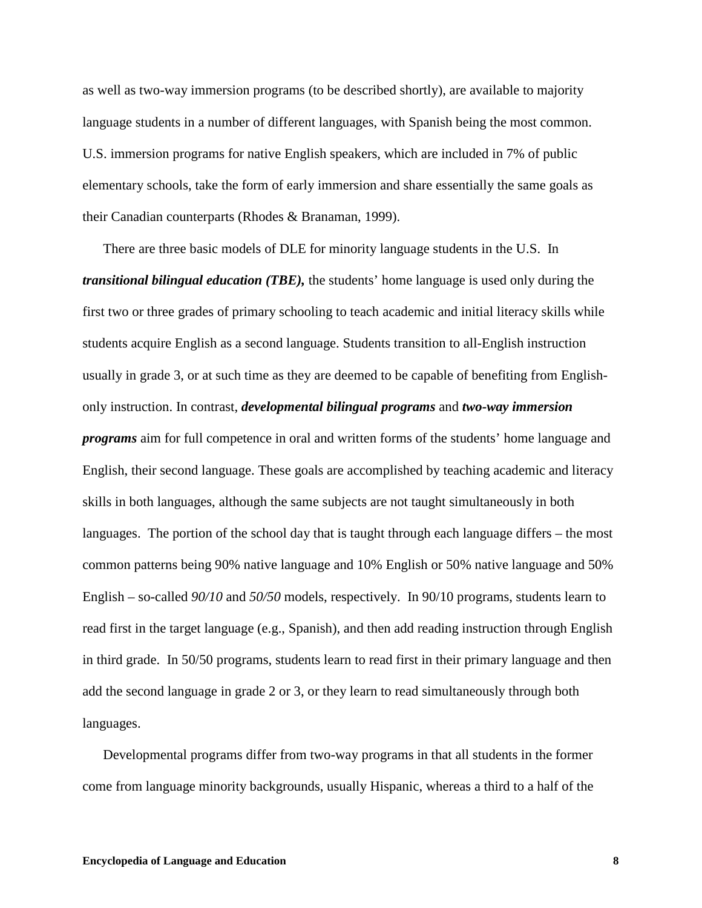as well as two-way immersion programs (to be described shortly), are available to majority language students in a number of different languages, with Spanish being the most common. U.S. immersion programs for native English speakers, which are included in 7% of public elementary schools, take the form of early immersion and share essentially the same goals as their Canadian counterparts (Rhodes & Branaman, 1999).

There are three basic models of DLE for minority language students in the U.S. In *transitional bilingual education (TBE),* the students' home language is used only during the first two or three grades of primary schooling to teach academic and initial literacy skills while students acquire English as a second language. Students transition to all-English instruction usually in grade 3, or at such time as they are deemed to be capable of benefiting from Englishonly instruction. In contrast, *developmental bilingual programs* and *two-way immersion programs* aim for full competence in oral and written forms of the students' home language and English, their second language. These goals are accomplished by teaching academic and literacy skills in both languages, although the same subjects are not taught simultaneously in both languages. The portion of the school day that is taught through each language differs – the most common patterns being 90% native language and 10% English or 50% native language and 50% English – so-called *90/10* and *50/50* models, respectively. In 90/10 programs, students learn to read first in the target language (e.g., Spanish), and then add reading instruction through English in third grade. In 50/50 programs, students learn to read first in their primary language and then add the second language in grade 2 or 3, or they learn to read simultaneously through both languages.

Developmental programs differ from two-way programs in that all students in the former come from language minority backgrounds, usually Hispanic, whereas a third to a half of the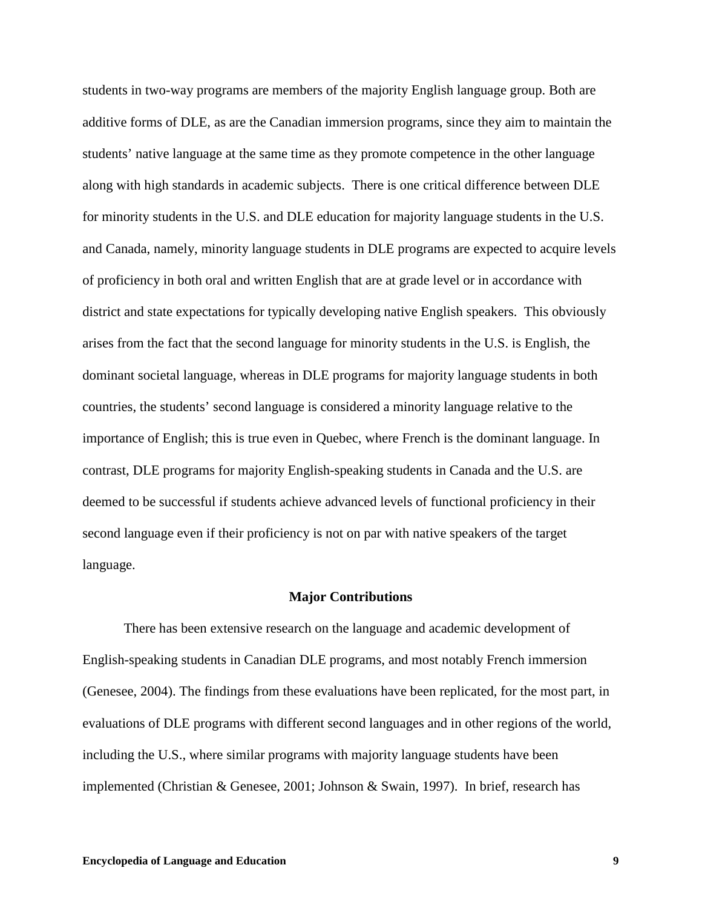students in two-way programs are members of the majority English language group. Both are additive forms of DLE, as are the Canadian immersion programs, since they aim to maintain the students' native language at the same time as they promote competence in the other language along with high standards in academic subjects. There is one critical difference between DLE for minority students in the U.S. and DLE education for majority language students in the U.S. and Canada, namely, minority language students in DLE programs are expected to acquire levels of proficiency in both oral and written English that are at grade level or in accordance with district and state expectations for typically developing native English speakers. This obviously arises from the fact that the second language for minority students in the U.S. is English, the dominant societal language, whereas in DLE programs for majority language students in both countries, the students' second language is considered a minority language relative to the importance of English; this is true even in Quebec, where French is the dominant language. In contrast, DLE programs for majority English-speaking students in Canada and the U.S. are deemed to be successful if students achieve advanced levels of functional proficiency in their second language even if their proficiency is not on par with native speakers of the target language.

#### **Major Contributions**

There has been extensive research on the language and academic development of English-speaking students in Canadian DLE programs, and most notably French immersion (Genesee, 2004). The findings from these evaluations have been replicated, for the most part, in evaluations of DLE programs with different second languages and in other regions of the world, including the U.S., where similar programs with majority language students have been implemented (Christian & Genesee, 2001; Johnson & Swain, 1997). In brief, research has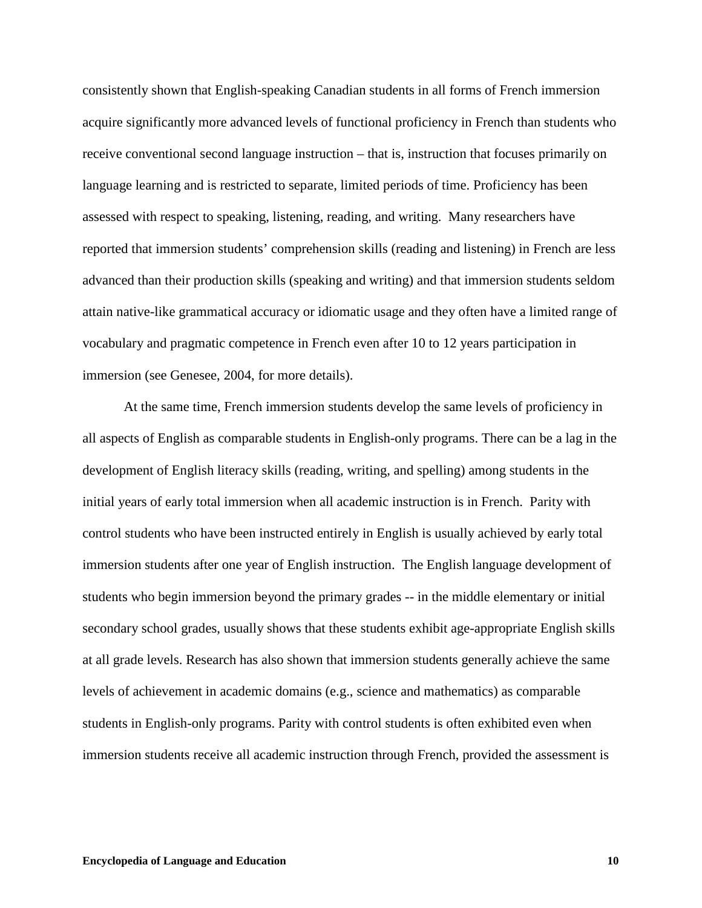consistently shown that English-speaking Canadian students in all forms of French immersion acquire significantly more advanced levels of functional proficiency in French than students who receive conventional second language instruction – that is, instruction that focuses primarily on language learning and is restricted to separate, limited periods of time. Proficiency has been assessed with respect to speaking, listening, reading, and writing. Many researchers have reported that immersion students' comprehension skills (reading and listening) in French are less advanced than their production skills (speaking and writing) and that immersion students seldom attain native-like grammatical accuracy or idiomatic usage and they often have a limited range of vocabulary and pragmatic competence in French even after 10 to 12 years participation in immersion (see Genesee, 2004, for more details).

At the same time, French immersion students develop the same levels of proficiency in all aspects of English as comparable students in English-only programs. There can be a lag in the development of English literacy skills (reading, writing, and spelling) among students in the initial years of early total immersion when all academic instruction is in French. Parity with control students who have been instructed entirely in English is usually achieved by early total immersion students after one year of English instruction. The English language development of students who begin immersion beyond the primary grades -- in the middle elementary or initial secondary school grades, usually shows that these students exhibit age-appropriate English skills at all grade levels. Research has also shown that immersion students generally achieve the same levels of achievement in academic domains (e.g., science and mathematics) as comparable students in English-only programs. Parity with control students is often exhibited even when immersion students receive all academic instruction through French, provided the assessment is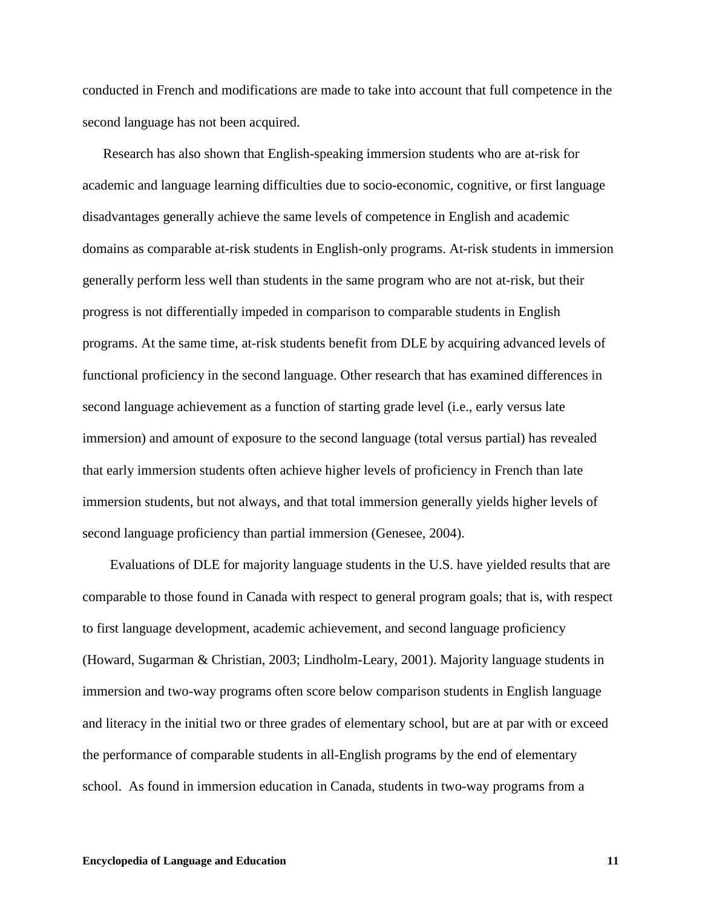conducted in French and modifications are made to take into account that full competence in the second language has not been acquired.

Research has also shown that English-speaking immersion students who are at-risk for academic and language learning difficulties due to socio-economic, cognitive, or first language disadvantages generally achieve the same levels of competence in English and academic domains as comparable at-risk students in English-only programs. At-risk students in immersion generally perform less well than students in the same program who are not at-risk, but their progress is not differentially impeded in comparison to comparable students in English programs. At the same time, at-risk students benefit from DLE by acquiring advanced levels of functional proficiency in the second language. Other research that has examined differences in second language achievement as a function of starting grade level (i.e., early versus late immersion) and amount of exposure to the second language (total versus partial) has revealed that early immersion students often achieve higher levels of proficiency in French than late immersion students, but not always, and that total immersion generally yields higher levels of second language proficiency than partial immersion (Genesee, 2004).

 Evaluations of DLE for majority language students in the U.S. have yielded results that are comparable to those found in Canada with respect to general program goals; that is, with respect to first language development, academic achievement, and second language proficiency (Howard, Sugarman & Christian, 2003; Lindholm-Leary, 2001). Majority language students in immersion and two-way programs often score below comparison students in English language and literacy in the initial two or three grades of elementary school, but are at par with or exceed the performance of comparable students in all-English programs by the end of elementary school. As found in immersion education in Canada, students in two-way programs from a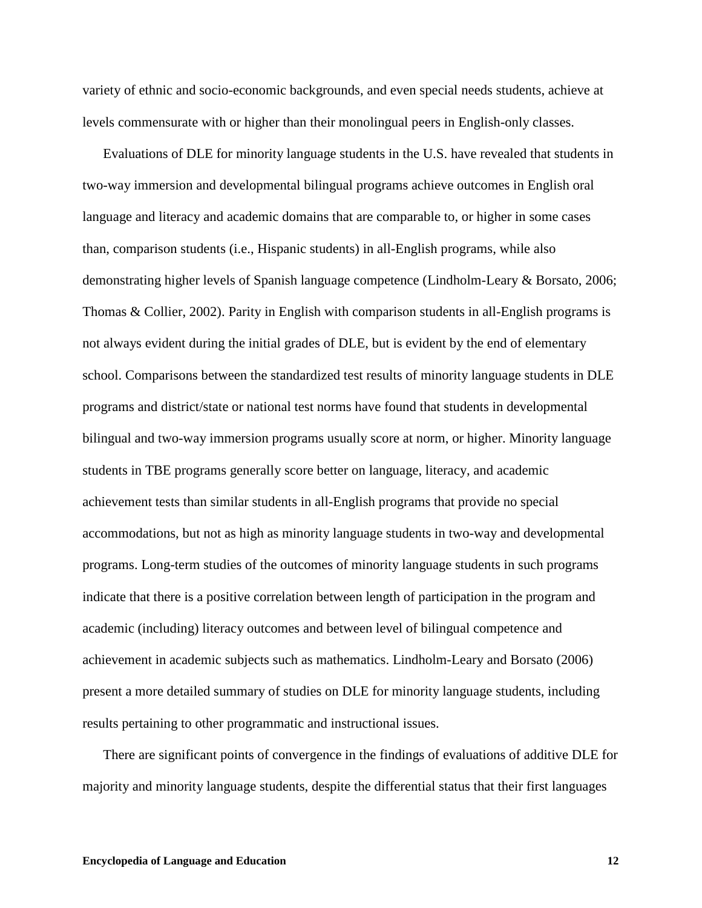variety of ethnic and socio-economic backgrounds, and even special needs students, achieve at levels commensurate with or higher than their monolingual peers in English-only classes.

Evaluations of DLE for minority language students in the U.S. have revealed that students in two-way immersion and developmental bilingual programs achieve outcomes in English oral language and literacy and academic domains that are comparable to, or higher in some cases than, comparison students (i.e., Hispanic students) in all-English programs, while also demonstrating higher levels of Spanish language competence (Lindholm-Leary & Borsato, 2006; Thomas & Collier, 2002). Parity in English with comparison students in all-English programs is not always evident during the initial grades of DLE, but is evident by the end of elementary school. Comparisons between the standardized test results of minority language students in DLE programs and district/state or national test norms have found that students in developmental bilingual and two-way immersion programs usually score at norm, or higher. Minority language students in TBE programs generally score better on language, literacy, and academic achievement tests than similar students in all-English programs that provide no special accommodations, but not as high as minority language students in two-way and developmental programs. Long-term studies of the outcomes of minority language students in such programs indicate that there is a positive correlation between length of participation in the program and academic (including) literacy outcomes and between level of bilingual competence and achievement in academic subjects such as mathematics. Lindholm-Leary and Borsato (2006) present a more detailed summary of studies on DLE for minority language students, including results pertaining to other programmatic and instructional issues.

There are significant points of convergence in the findings of evaluations of additive DLE for majority and minority language students, despite the differential status that their first languages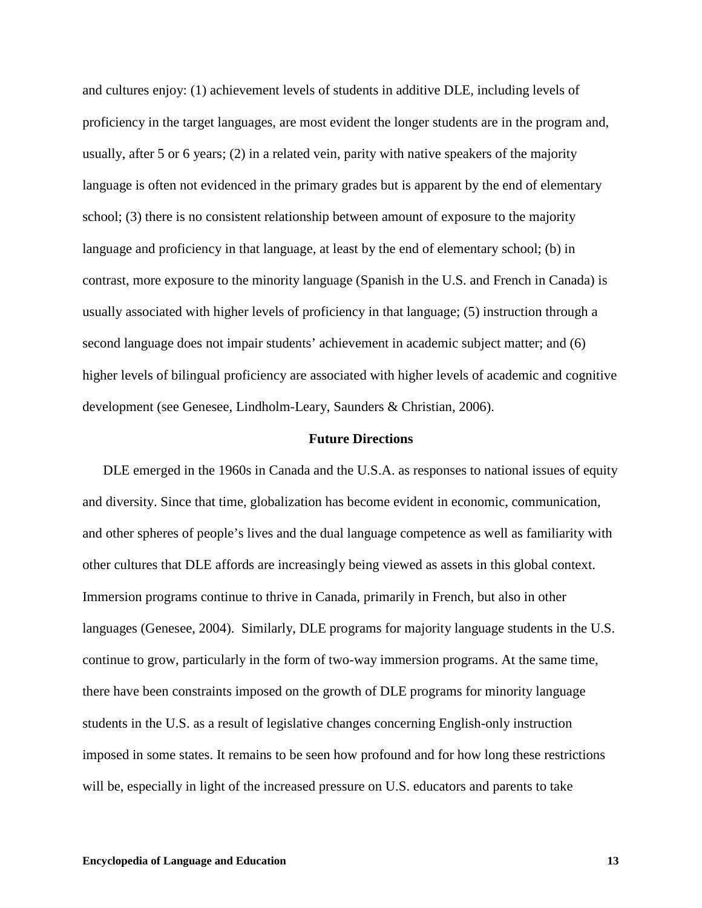and cultures enjoy: (1) achievement levels of students in additive DLE, including levels of proficiency in the target languages, are most evident the longer students are in the program and, usually, after 5 or 6 years; (2) in a related vein, parity with native speakers of the majority language is often not evidenced in the primary grades but is apparent by the end of elementary school; (3) there is no consistent relationship between amount of exposure to the majority language and proficiency in that language, at least by the end of elementary school; (b) in contrast, more exposure to the minority language (Spanish in the U.S. and French in Canada) is usually associated with higher levels of proficiency in that language; (5) instruction through a second language does not impair students' achievement in academic subject matter; and (6) higher levels of bilingual proficiency are associated with higher levels of academic and cognitive development (see Genesee, Lindholm-Leary, Saunders & Christian, 2006).

### **Future Directions**

DLE emerged in the 1960s in Canada and the U.S.A. as responses to national issues of equity and diversity. Since that time, globalization has become evident in economic, communication, and other spheres of people's lives and the dual language competence as well as familiarity with other cultures that DLE affords are increasingly being viewed as assets in this global context. Immersion programs continue to thrive in Canada, primarily in French, but also in other languages (Genesee, 2004). Similarly, DLE programs for majority language students in the U.S. continue to grow, particularly in the form of two-way immersion programs. At the same time, there have been constraints imposed on the growth of DLE programs for minority language students in the U.S. as a result of legislative changes concerning English-only instruction imposed in some states. It remains to be seen how profound and for how long these restrictions will be, especially in light of the increased pressure on U.S. educators and parents to take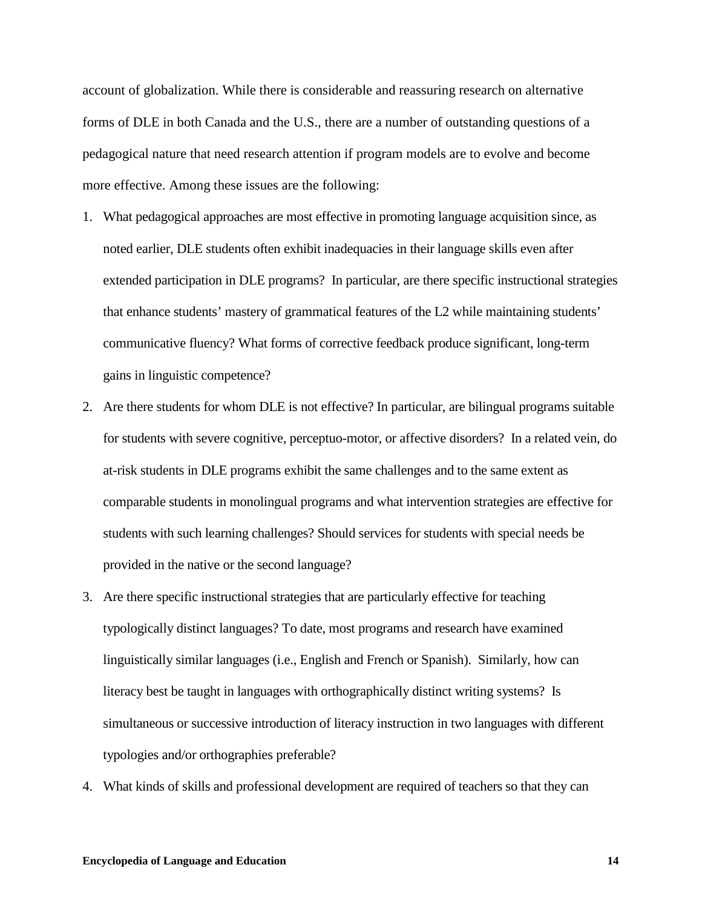account of globalization. While there is considerable and reassuring research on alternative forms of DLE in both Canada and the U.S., there are a number of outstanding questions of a pedagogical nature that need research attention if program models are to evolve and become more effective. Among these issues are the following:

- 1. What pedagogical approaches are most effective in promoting language acquisition since, as noted earlier, DLE students often exhibit inadequacies in their language skills even after extended participation in DLE programs? In particular, are there specific instructional strategies that enhance students' mastery of grammatical features of the L2 while maintaining students' communicative fluency? What forms of corrective feedback produce significant, long-term gains in linguistic competence?
- 2. Are there students for whom DLE is not effective? In particular, are bilingual programs suitable for students with severe cognitive, perceptuo-motor, or affective disorders? In a related vein, do at-risk students in DLE programs exhibit the same challenges and to the same extent as comparable students in monolingual programs and what intervention strategies are effective for students with such learning challenges? Should services for students with special needs be provided in the native or the second language?
- 3. Are there specific instructional strategies that are particularly effective for teaching typologically distinct languages? To date, most programs and research have examined linguistically similar languages (i.e., English and French or Spanish). Similarly, how can literacy best be taught in languages with orthographically distinct writing systems? Is simultaneous or successive introduction of literacy instruction in two languages with different typologies and/or orthographies preferable?
- 4. What kinds of skills and professional development are required of teachers so that they can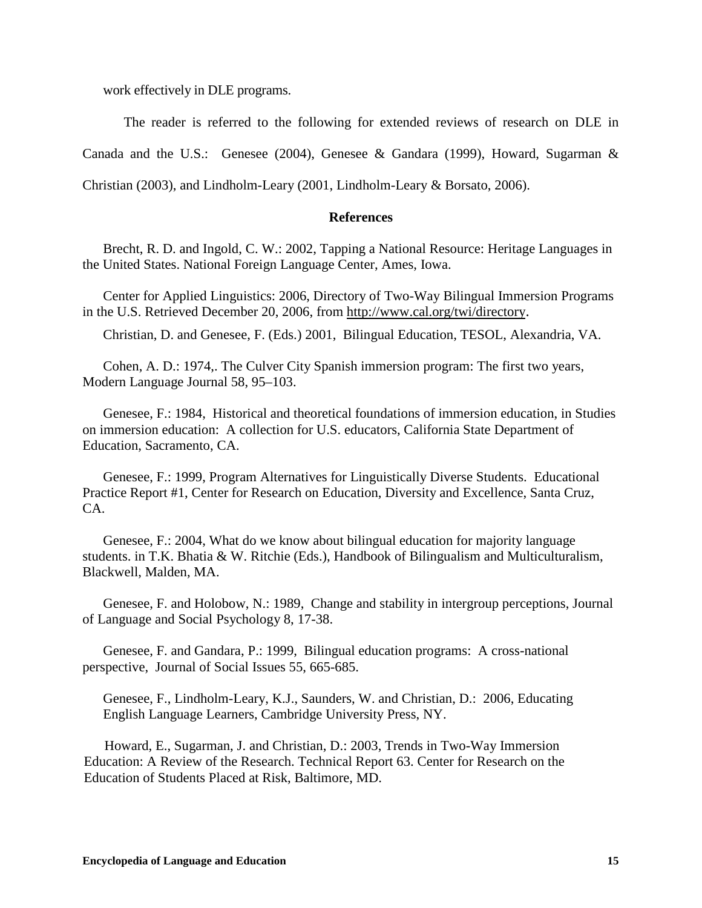work effectively in DLE programs.

The reader is referred to the following for extended reviews of research on DLE in

Canada and the U.S.: Genesee (2004), Genesee & Gandara (1999), Howard, Sugarman &

Christian (2003), and Lindholm-Leary (2001, Lindholm-Leary & Borsato, 2006).

## **References**

Brecht, R. D. and Ingold, C. W.: 2002, [Tapping a National Resource: Heritage](http://www.cal.org/resources/digest/0202brecht.html) Languages in [the United States.](http://www.cal.org/resources/digest/0202brecht.html) National Foreign Language Center, Ames, Iowa.

Center for Applied Linguistics: 2006, Directory of Two-Way Bilingual Immersion Programs in the U.S. Retrieved December 20, 2006, from<http://www.cal.org/twi/directory>.

Christian, D. and Genesee, F. (Eds.) 2001, Bilingual Education, TESOL, Alexandria, VA.

Cohen, A. D.: 1974,. The Culver City Spanish immersion program: The first two years, Modern Language Journal 58, 95–103.

Genesee, F.: 1984, Historical and theoretical foundations of immersion education, in Studies on immersion education: A collection for U.S. educators, California State Department of Education, Sacramento, CA.

Genesee, F.: 1999, Program Alternatives for Linguistically Diverse Students. Educational Practice Report #1, Center for Research on Education, Diversity and Excellence, Santa Cruz, CA.

Genesee, F.: 2004, What do we know about bilingual education for majority language students. in T.K. Bhatia & W. Ritchie (Eds.), Handbook of Bilingualism and Multiculturalism, Blackwell, Malden, MA.

Genesee, F. and Holobow, N.: 1989, Change and stability in intergroup perceptions, Journal of Language and Social Psychology 8, 17-38.

Genesee, F. and Gandara, P.: 1999, Bilingual education programs: A cross-national perspective, Journal of Social Issues 55, 665-685.

Genesee, F., Lindholm-Leary, K.J., Saunders, W. and Christian, D.: 2006, Educating English Language Learners, Cambridge University Press, NY.

Howard, E., Sugarman, J. and Christian, D.: 2003, Trends in Two-Way Immersion Education: A Review of the Research. Technical Report 63. Center for Research on the Education of Students Placed at Risk, Baltimore, MD.